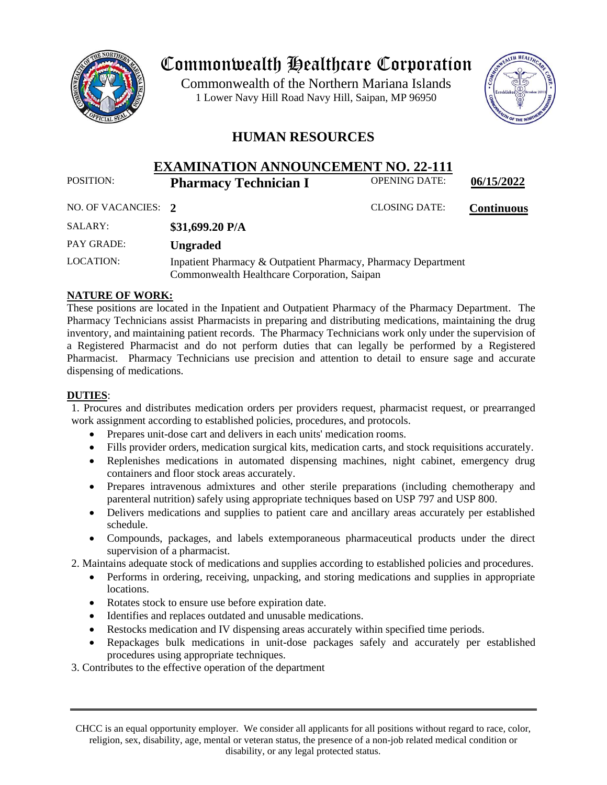

# Commonwealth Healthcare Corporation

 1 Lower Navy Hill Road Navy Hill, Saipan, MP 96950Commonwealth of the Northern Mariana Islands



# **HUMAN RESOURCES**

# **EXAMINATION ANNOUNCEMENT NO. 22-111**<br>Pharmacy Technician I OPENING DATE: POSITION: **Pharmacy Technician I** OPENING DATE: **06/15/2022**

NO. OF VACANCIES: **2** CLOSING DATE: **Continuous**

| SALARY:    | \$31,699.20 $P/A$                                                                                            |
|------------|--------------------------------------------------------------------------------------------------------------|
| PAY GRADE: | <b>Ungraded</b>                                                                                              |
| LOCATION:  | Inpatient Pharmacy & Outpatient Pharmacy, Pharmacy Department<br>Commonwealth Healthcare Corporation, Saipan |

## **NATURE OF WORK:**

These positions are located in the Inpatient and Outpatient Pharmacy of the Pharmacy Department. The Pharmacy Technicians assist Pharmacists in preparing and distributing medications, maintaining the drug inventory, and maintaining patient records. The Pharmacy Technicians work only under the supervision of a Registered Pharmacist and do not perform duties that can legally be performed by a Registered Pharmacist. Pharmacy Technicians use precision and attention to detail to ensure sage and accurate dispensing of medications.

## **DUTIES**:

1. Procures and distributes medication orders per providers request, pharmacist request, or prearranged work assignment according to established policies, procedures, and protocols.

- Prepares unit-dose cart and delivers in each units' medication rooms.
- Fills provider orders, medication surgical kits, medication carts, and stock requisitions accurately.
- Replenishes medications in automated dispensing machines, night cabinet, emergency drug containers and floor stock areas accurately.
- Prepares intravenous admixtures and other sterile preparations (including chemotherapy and parenteral nutrition) safely using appropriate techniques based on USP 797 and USP 800.
- Delivers medications and supplies to patient care and ancillary areas accurately per established schedule.
- Compounds, packages, and labels extemporaneous pharmaceutical products under the direct supervision of a pharmacist.

2. Maintains adequate stock of medications and supplies according to established policies and procedures.

- Performs in ordering, receiving, unpacking, and storing medications and supplies in appropriate locations.
- Rotates stock to ensure use before expiration date.
- Identifies and replaces outdated and unusable medications.
- Restocks medication and IV dispensing areas accurately within specified time periods.
- Repackages bulk medications in unit-dose packages safely and accurately per established procedures using appropriate techniques.

3. Contributes to the effective operation of the department

CHCC is an equal opportunity employer. We consider all applicants for all positions without regard to race, color, religion, sex, disability, age, mental or veteran status, the presence of a non-job related medical condition or disability, or any legal protected status.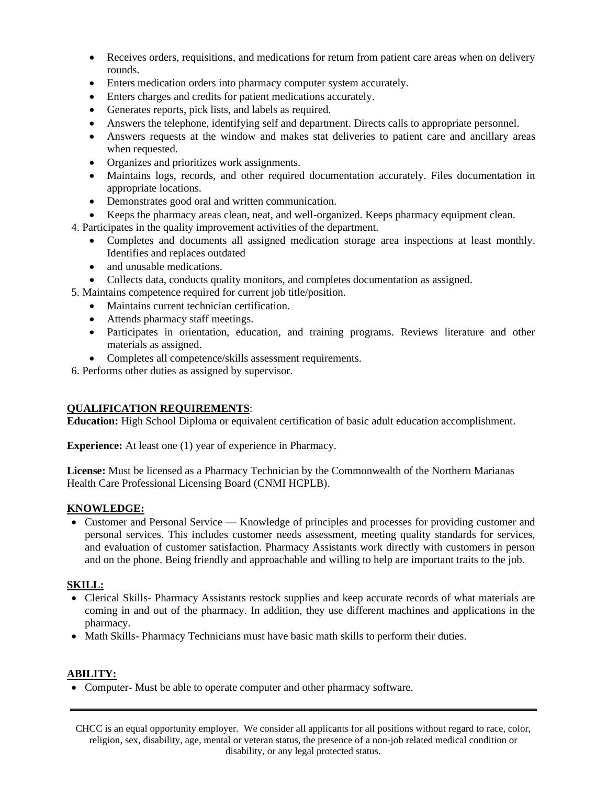- Receives orders, requisitions, and medications for return from patient care areas when on delivery rounds.
- Enters medication orders into pharmacy computer system accurately.
- Enters charges and credits for patient medications accurately.
- Generates reports, pick lists, and labels as required.
- Answers the telephone, identifying self and department. Directs calls to appropriate personnel.
- Answers requests at the window and makes stat deliveries to patient care and ancillary areas when requested.
- Organizes and prioritizes work assignments.
- Maintains logs, records, and other required documentation accurately. Files documentation in appropriate locations.
- Demonstrates good oral and written communication.
- Keeps the pharmacy areas clean, neat, and well-organized. Keeps pharmacy equipment clean.
- 4. Participates in the quality improvement activities of the department.
	- Completes and documents all assigned medication storage area inspections at least monthly. Identifies and replaces outdated
	- and unusable medications.
	- Collects data, conducts quality monitors, and completes documentation as assigned.
- 5. Maintains competence required for current job title/position.
	- Maintains current technician certification.
	- Attends pharmacy staff meetings.
	- Participates in orientation, education, and training programs. Reviews literature and other materials as assigned.
	- Completes all competence/skills assessment requirements.
- 6. Performs other duties as assigned by supervisor.

## **QUALIFICATION REQUIREMENTS**:

**Education:** High School Diploma or equivalent certification of basic adult education accomplishment.

**Experience:** At least one (1) year of experience in Pharmacy.

**License:** Must be licensed as a Pharmacy Technician by the Commonwealth of the Northern Marianas Health Care Professional Licensing Board (CNMI HCPLB).

### **KNOWLEDGE:**

• Customer and Personal Service — Knowledge of principles and processes for providing customer and personal services. This includes customer needs assessment, meeting quality standards for services, and evaluation of customer satisfaction. Pharmacy Assistants work directly with customers in person and on the phone. Being friendly and approachable and willing to help are important traits to the job.

### **SKILL:**

- Clerical Skills- Pharmacy Assistants restock supplies and keep accurate records of what materials are coming in and out of the pharmacy. In addition, they use different machines and applications in the pharmacy.
- Math Skills-Pharmacy Technicians must have basic math skills to perform their duties.

## **ABILITY:**

• Computer- Must be able to operate computer and other pharmacy software.

CHCC is an equal opportunity employer. We consider all applicants for all positions without regard to race, color, religion, sex, disability, age, mental or veteran status, the presence of a non-job related medical condition or disability, or any legal protected status.